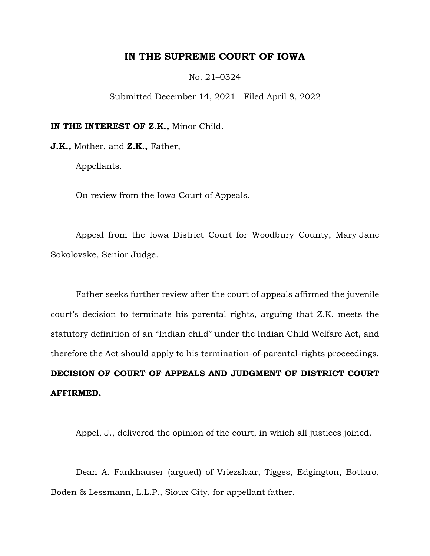# **IN THE SUPREME COURT OF IOWA**

No. 21–0324

Submitted December 14, 2021—Filed April 8, 2022

**IN THE INTEREST OF Z.K.,** Minor Child.

**J.K.,** Mother, and **Z.K.,** Father,

Appellants.

On review from the Iowa Court of Appeals.

Appeal from the Iowa District Court for Woodbury County, Mary Jane Sokolovske, Senior Judge.

Father seeks further review after the court of appeals affirmed the juvenile court's decision to terminate his parental rights, arguing that Z.K. meets the statutory definition of an "Indian child" under the Indian Child Welfare Act, and therefore the Act should apply to his termination-of-parental-rights proceedings. **DECISION OF COURT OF APPEALS AND JUDGMENT OF DISTRICT COURT** 

**AFFIRMED.**

Appel, J., delivered the opinion of the court, in which all justices joined.

Dean A. Fankhauser (argued) of Vriezslaar, Tigges, Edgington, Bottaro, Boden & Lessmann, L.L.P., Sioux City, for appellant father.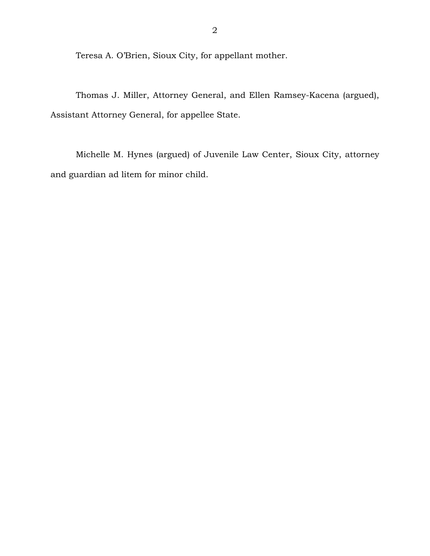Teresa A. O'Brien, Sioux City, for appellant mother.

Thomas J. Miller, Attorney General, and Ellen Ramsey-Kacena (argued), Assistant Attorney General, for appellee State.

Michelle M. Hynes (argued) of Juvenile Law Center, Sioux City, attorney and guardian ad litem for minor child.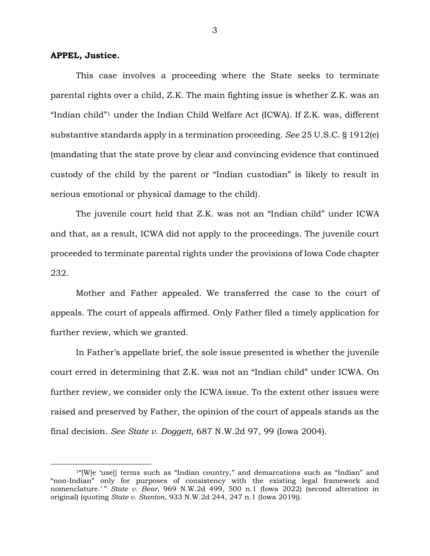## **APPEL, Justice.**

 $\overline{a}$ 

This case involves a proceeding where the State seeks to terminate parental rights over a child, Z.K. The main fighting issue is whether Z.K. was an "Indian child"1 under the Indian Child Welfare Act (ICWA). If Z.K. was, different substantive standards apply in a termination proceeding. *See* 25 U.S.C. § 1912(e) (mandating that the state prove by clear and convincing evidence that continued custody of the child by the parent or "Indian custodian" is likely to result in serious emotional or physical damage to the child).

The juvenile court held that Z.K. was not an "Indian child" under ICWA and that, as a result, ICWA did not apply to the proceedings. The juvenile court proceeded to terminate parental rights under the provisions of Iowa Code chapter 232.

Mother and Father appealed. We transferred the case to the court of appeals. The court of appeals affirmed. Only Father filed a timely application for further review, which we granted.

In Father's appellate brief, the sole issue presented is whether the juvenile court erred in determining that Z.K. was not an "Indian child" under ICWA. On further review, we consider only the ICWA issue. To the extent other issues were raised and preserved by Father, the opinion of the court of appeals stands as the final decision. *See State v. Doggett*, 687 N.W.2d 97, 99 (Iowa 2004).

 $1^{4}$ [W]e 'use] terms such as "Indian country," and demarcations such as "Indian" and "non-Indian" only for purposes of consistency with the existing legal framework and nomenclature.'" State v. Bear, 969 N.W.2d 499, 500 n.1 (Iowa 2022) (second alteration in original) (quoting *State v. Stanton*, 933 N.W.2d 244, 247 n.1 (Iowa 2019)).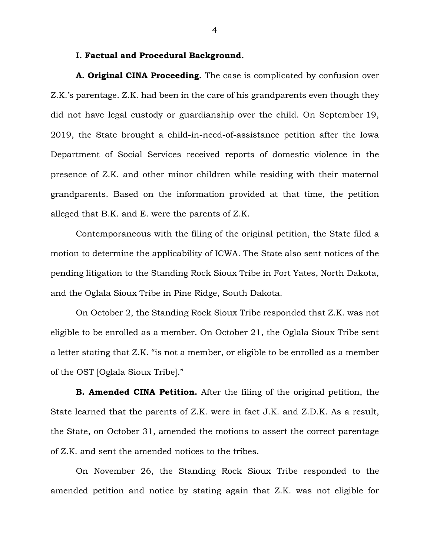### **I. Factual and Procedural Background.**

**A. Original CINA Proceeding.** The case is complicated by confusion over Z.K.'s parentage. Z.K. had been in the care of his grandparents even though they did not have legal custody or guardianship over the child. On September 19, 2019, the State brought a child-in-need-of-assistance petition after the Iowa Department of Social Services received reports of domestic violence in the presence of Z.K. and other minor children while residing with their maternal grandparents. Based on the information provided at that time, the petition alleged that B.K. and E. were the parents of Z.K.

Contemporaneous with the filing of the original petition, the State filed a motion to determine the applicability of ICWA. The State also sent notices of the pending litigation to the Standing Rock Sioux Tribe in Fort Yates, North Dakota, and the Oglala Sioux Tribe in Pine Ridge, South Dakota.

On October 2, the Standing Rock Sioux Tribe responded that Z.K. was not eligible to be enrolled as a member. On October 21, the Oglala Sioux Tribe sent a letter stating that Z.K. "is not a member, or eligible to be enrolled as a member of the OST [Oglala Sioux Tribe]."

**B. Amended CINA Petition.** After the filing of the original petition, the State learned that the parents of Z.K. were in fact J.K. and Z.D.K. As a result, the State, on October 31, amended the motions to assert the correct parentage of Z.K. and sent the amended notices to the tribes.

On November 26, the Standing Rock Sioux Tribe responded to the amended petition and notice by stating again that Z.K. was not eligible for

4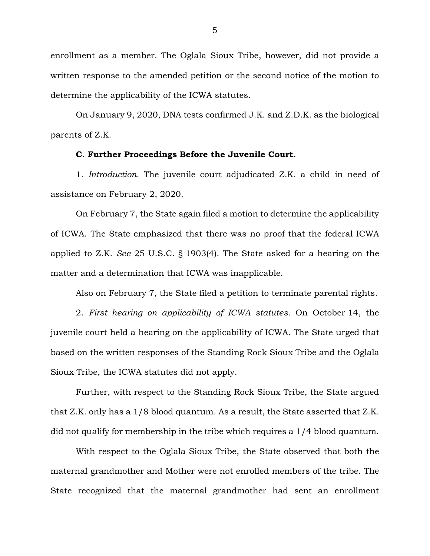enrollment as a member. The Oglala Sioux Tribe, however, did not provide a written response to the amended petition or the second notice of the motion to determine the applicability of the ICWA statutes.

On January 9, 2020, DNA tests confirmed J.K. and Z.D.K. as the biological parents of Z.K.

## **C. Further Proceedings Before the Juvenile Court.**

1. *Introduction.* The juvenile court adjudicated Z.K. a child in need of assistance on February 2, 2020.

On February 7, the State again filed a motion to determine the applicability of ICWA. The State emphasized that there was no proof that the federal ICWA applied to Z.K. *See* 25 U.S.C. § 1903(4). The State asked for a hearing on the matter and a determination that ICWA was inapplicable.

Also on February 7, the State filed a petition to terminate parental rights.

2. *First hearing on applicability of ICWA statutes.* On October 14, the juvenile court held a hearing on the applicability of ICWA. The State urged that based on the written responses of the Standing Rock Sioux Tribe and the Oglala Sioux Tribe, the ICWA statutes did not apply.

Further, with respect to the Standing Rock Sioux Tribe, the State argued that Z.K. only has a 1/8 blood quantum. As a result, the State asserted that Z.K. did not qualify for membership in the tribe which requires a 1/4 blood quantum.

With respect to the Oglala Sioux Tribe, the State observed that both the maternal grandmother and Mother were not enrolled members of the tribe. The State recognized that the maternal grandmother had sent an enrollment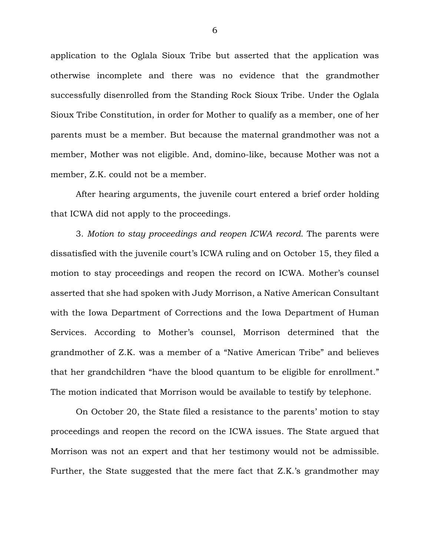application to the Oglala Sioux Tribe but asserted that the application was otherwise incomplete and there was no evidence that the grandmother successfully disenrolled from the Standing Rock Sioux Tribe. Under the Oglala Sioux Tribe Constitution, in order for Mother to qualify as a member, one of her parents must be a member. But because the maternal grandmother was not a member, Mother was not eligible. And, domino-like, because Mother was not a member, Z.K. could not be a member.

After hearing arguments, the juvenile court entered a brief order holding that ICWA did not apply to the proceedings.

3. *Motion to stay proceedings and reopen ICWA record.* The parents were dissatisfied with the juvenile court's ICWA ruling and on October 15, they filed a motion to stay proceedings and reopen the record on ICWA. Mother's counsel asserted that she had spoken with Judy Morrison, a Native American Consultant with the Iowa Department of Corrections and the Iowa Department of Human Services. According to Mother's counsel, Morrison determined that the grandmother of Z.K. was a member of a "Native American Tribe" and believes that her grandchildren "have the blood quantum to be eligible for enrollment." The motion indicated that Morrison would be available to testify by telephone.

On October 20, the State filed a resistance to the parents' motion to stay proceedings and reopen the record on the ICWA issues. The State argued that Morrison was not an expert and that her testimony would not be admissible. Further, the State suggested that the mere fact that Z.K.'s grandmother may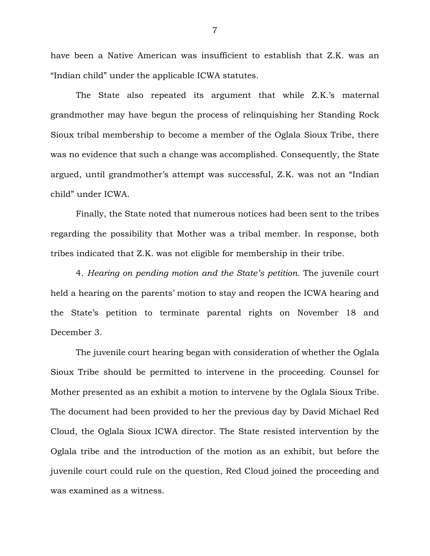have been a Native American was insufficient to establish that Z.K. was an "Indian child" under the applicable ICWA statutes.

The State also repeated its argument that while Z.K.'s maternal grandmother may have begun the process of relinquishing her Standing Rock Sioux tribal membership to become a member of the Oglala Sioux Tribe, there was no evidence that such a change was accomplished. Consequently, the State argued, until grandmother's attempt was successful, Z.K. was not an "Indian child" under ICWA.

Finally, the State noted that numerous notices had been sent to the tribes regarding the possibility that Mother was a tribal member. In response, both tribes indicated that Z.K. was not eligible for membership in their tribe.

4. *Hearing on pending motion and the State's petition.* The juvenile court held a hearing on the parents' motion to stay and reopen the ICWA hearing and the State's petition to terminate parental rights on November 18 and December 3.

The juvenile court hearing began with consideration of whether the Oglala Sioux Tribe should be permitted to intervene in the proceeding. Counsel for Mother presented as an exhibit a motion to intervene by the Oglala Sioux Tribe. The document had been provided to her the previous day by David Michael Red Cloud, the Oglala Sioux ICWA director. The State resisted intervention by the Oglala tribe and the introduction of the motion as an exhibit, but before the juvenile court could rule on the question, Red Cloud joined the proceeding and was examined as a witness.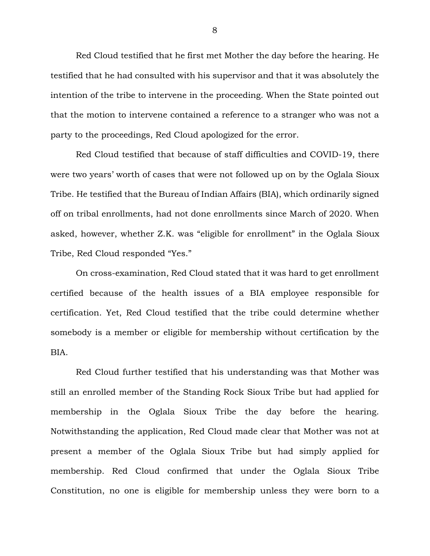Red Cloud testified that he first met Mother the day before the hearing. He testified that he had consulted with his supervisor and that it was absolutely the intention of the tribe to intervene in the proceeding. When the State pointed out that the motion to intervene contained a reference to a stranger who was not a party to the proceedings, Red Cloud apologized for the error.

Red Cloud testified that because of staff difficulties and COVID-19, there were two years' worth of cases that were not followed up on by the Oglala Sioux Tribe. He testified that the Bureau of Indian Affairs (BIA), which ordinarily signed off on tribal enrollments, had not done enrollments since March of 2020. When asked, however, whether Z.K. was "eligible for enrollment" in the Oglala Sioux Tribe, Red Cloud responded "Yes."

On cross-examination, Red Cloud stated that it was hard to get enrollment certified because of the health issues of a BIA employee responsible for certification. Yet, Red Cloud testified that the tribe could determine whether somebody is a member or eligible for membership without certification by the BIA.

Red Cloud further testified that his understanding was that Mother was still an enrolled member of the Standing Rock Sioux Tribe but had applied for membership in the Oglala Sioux Tribe the day before the hearing. Notwithstanding the application, Red Cloud made clear that Mother was not at present a member of the Oglala Sioux Tribe but had simply applied for membership. Red Cloud confirmed that under the Oglala Sioux Tribe Constitution, no one is eligible for membership unless they were born to a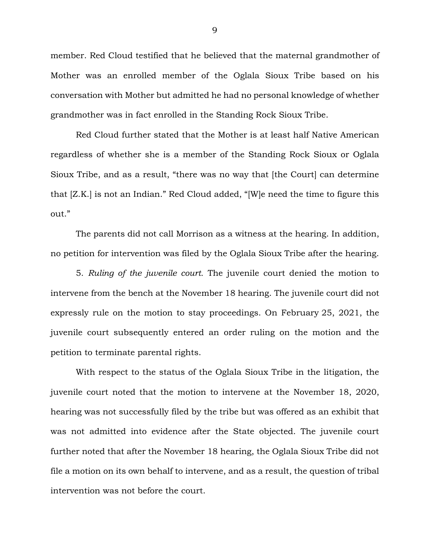member. Red Cloud testified that he believed that the maternal grandmother of Mother was an enrolled member of the Oglala Sioux Tribe based on his conversation with Mother but admitted he had no personal knowledge of whether grandmother was in fact enrolled in the Standing Rock Sioux Tribe.

Red Cloud further stated that the Mother is at least half Native American regardless of whether she is a member of the Standing Rock Sioux or Oglala Sioux Tribe, and as a result, "there was no way that [the Court] can determine that [Z.K.] is not an Indian." Red Cloud added, "[W]e need the time to figure this out."

The parents did not call Morrison as a witness at the hearing. In addition, no petition for intervention was filed by the Oglala Sioux Tribe after the hearing.

5. *Ruling of the juvenile court.* The juvenile court denied the motion to intervene from the bench at the November 18 hearing. The juvenile court did not expressly rule on the motion to stay proceedings. On February 25, 2021, the juvenile court subsequently entered an order ruling on the motion and the petition to terminate parental rights.

With respect to the status of the Oglala Sioux Tribe in the litigation, the juvenile court noted that the motion to intervene at the November 18, 2020, hearing was not successfully filed by the tribe but was offered as an exhibit that was not admitted into evidence after the State objected. The juvenile court further noted that after the November 18 hearing, the Oglala Sioux Tribe did not file a motion on its own behalf to intervene, and as a result, the question of tribal intervention was not before the court.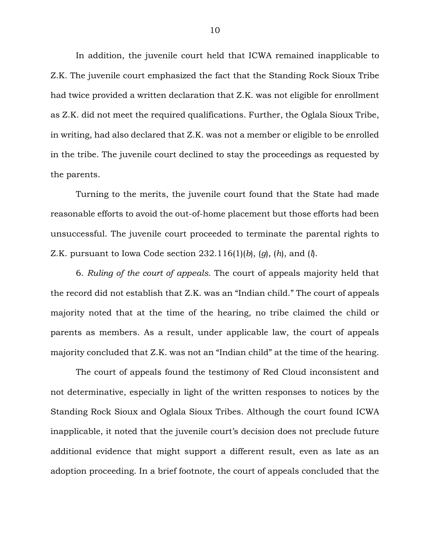In addition, the juvenile court held that ICWA remained inapplicable to Z.K. The juvenile court emphasized the fact that the Standing Rock Sioux Tribe had twice provided a written declaration that Z.K. was not eligible for enrollment as Z.K. did not meet the required qualifications. Further, the Oglala Sioux Tribe, in writing, had also declared that Z.K. was not a member or eligible to be enrolled in the tribe. The juvenile court declined to stay the proceedings as requested by the parents.

Turning to the merits, the juvenile court found that the State had made reasonable efforts to avoid the out-of-home placement but those efforts had been unsuccessful. The juvenile court proceeded to terminate the parental rights to Z.K. pursuant to Iowa Code section 232.116(1)(*b*), (*g*), (*h*), and (*l*).

6. *Ruling of the court of appeals.* The court of appeals majority held that the record did not establish that Z.K. was an "Indian child." The court of appeals majority noted that at the time of the hearing, no tribe claimed the child or parents as members. As a result, under applicable law, the court of appeals majority concluded that Z.K. was not an "Indian child" at the time of the hearing.

The court of appeals found the testimony of Red Cloud inconsistent and not determinative, especially in light of the written responses to notices by the Standing Rock Sioux and Oglala Sioux Tribes. Although the court found ICWA inapplicable, it noted that the juvenile court's decision does not preclude future additional evidence that might support a different result, even as late as an adoption proceeding. In a brief footnote, the court of appeals concluded that the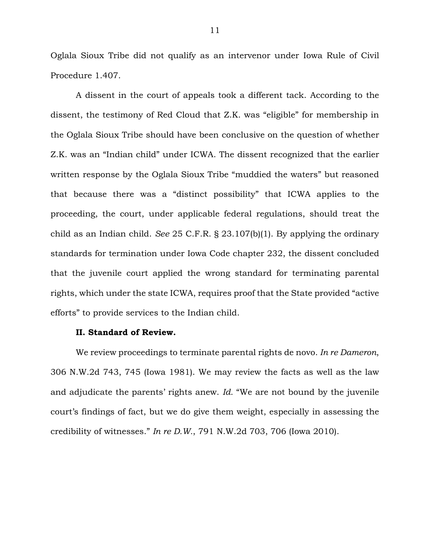Oglala Sioux Tribe did not qualify as an intervenor under Iowa Rule of Civil Procedure 1.407.

A dissent in the court of appeals took a different tack. According to the dissent, the testimony of Red Cloud that Z.K. was "eligible" for membership in the Oglala Sioux Tribe should have been conclusive on the question of whether Z.K. was an "Indian child" under ICWA. The dissent recognized that the earlier written response by the Oglala Sioux Tribe "muddied the waters" but reasoned that because there was a "distinct possibility" that ICWA applies to the proceeding, the court, under applicable federal regulations, should treat the child as an Indian child. *See* 25 C.F.R. § 23.107(b)(1). By applying the ordinary standards for termination under Iowa Code chapter 232, the dissent concluded that the juvenile court applied the wrong standard for terminating parental rights, which under the state ICWA, requires proof that the State provided "active efforts" to provide services to the Indian child.

## **II. Standard of Review.**

We review proceedings to terminate parental rights de novo. *In re Dameron*, 306 N.W.2d 743, 745 (Iowa 1981). We may review the facts as well as the law and adjudicate the parents' rights anew. *Id.* "We are not bound by the juvenile court's findings of fact, but we do give them weight, especially in assessing the credibility of witnesses." *In re D.W.*, 791 N.W.2d 703, 706 (Iowa 2010).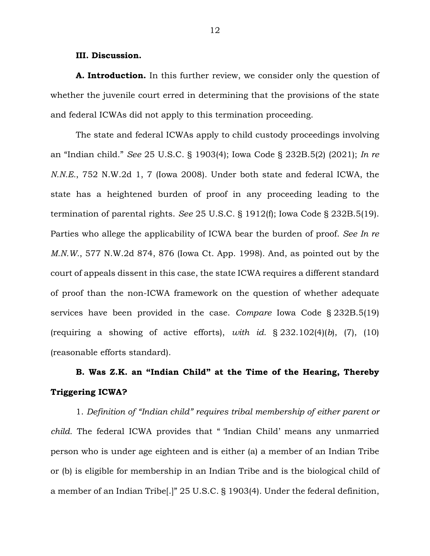### **III. Discussion.**

**A. Introduction.** In this further review, we consider only the question of whether the juvenile court erred in determining that the provisions of the state and federal ICWAs did not apply to this termination proceeding.

The state and federal ICWAs apply to child custody proceedings involving an "Indian child." *See* 25 U.S.C. § 1903(4); Iowa Code § 232B.5(2) (2021); *In re N.N.E.*, 752 N.W.2d 1, 7 (Iowa 2008). Under both state and federal ICWA, the state has a heightened burden of proof in any proceeding leading to the termination of parental rights. *See* 25 U.S.C. § 1912(f); Iowa Code § 232B.5(19). Parties who allege the applicability of ICWA bear the burden of proof. *See In re M.N.W.*, 577 N.W.2d 874, 876 (Iowa Ct. App. 1998). And, as pointed out by the court of appeals dissent in this case, the state ICWA requires a different standard of proof than the non-ICWA framework on the question of whether adequate services have been provided in the case. *Compare* Iowa Code § 232B.5(19) (requiring a showing of active efforts), *with id.* § 232.102(4)(*b*), (7), (10) (reasonable efforts standard).

# **B. Was Z.K. an "Indian Child" at the Time of the Hearing, Thereby Triggering ICWA?**

1. *Definition of "Indian child" requires tribal membership of either parent or child.* The federal ICWA provides that " 'Indian Child' means any unmarried person who is under age eighteen and is either (a) a member of an Indian Tribe or (b) is eligible for membership in an Indian Tribe and is the biological child of a member of an Indian Tribe[.]" 25 U.S.C. § 1903(4). Under the federal definition,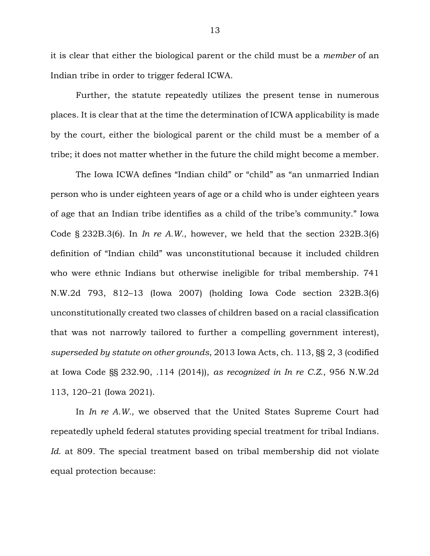it is clear that either the biological parent or the child must be a *member* of an Indian tribe in order to trigger federal ICWA.

Further, the statute repeatedly utilizes the present tense in numerous places. It is clear that at the time the determination of ICWA applicability is made by the court, either the biological parent or the child must be a member of a tribe; it does not matter whether in the future the child might become a member.

The Iowa ICWA defines "Indian child" or "child" as "an unmarried Indian person who is under eighteen years of age or a child who is under eighteen years of age that an Indian tribe identifies as a child of the tribe's community." Iowa Code § 232B.3(6). In *In re A.W.*, however, we held that the section 232B.3(6) definition of "Indian child" was unconstitutional because it included children who were ethnic Indians but otherwise ineligible for tribal membership. 741 N.W.2d 793, 812–13 (Iowa 2007) (holding Iowa Code section 232B.3(6) unconstitutionally created two classes of children based on a racial classification that was not narrowly tailored to further a compelling government interest), *superseded by statute on other grounds*, 2013 Iowa Acts, ch. 113, §§ 2, 3 (codified at Iowa Code §§ 232.90, .114 (2014)), *as recognized in In re C.Z.*, 956 N.W.2d 113, 120–21 (Iowa 2021).

In *In re A.W.*, we observed that the United States Supreme Court had repeatedly upheld federal statutes providing special treatment for tribal Indians. *Id.* at 809. The special treatment based on tribal membership did not violate equal protection because: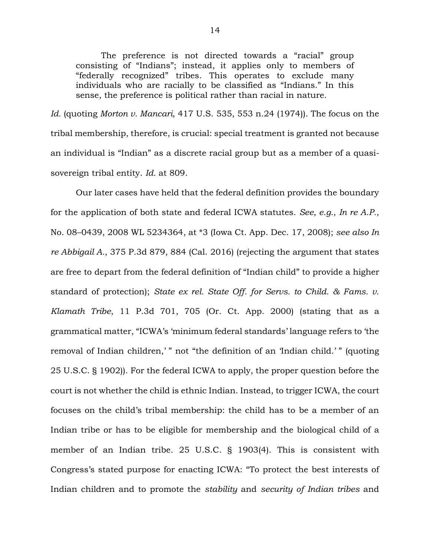The preference is not directed towards a "racial" group consisting of "Indians"; instead, it applies only to members of "federally recognized" tribes. This operates to exclude many individuals who are racially to be classified as "Indians." In this sense, the preference is political rather than racial in nature.

*Id.* (quoting *Morton v. Mancari*, 417 U.S. 535, 553 n.24 (1974)). The focus on the tribal membership, therefore, is crucial: special treatment is granted not because an individual is "Indian" as a discrete racial group but as a member of a quasisovereign tribal entity. *Id.* at 809.

Our later cases have held that the federal definition provides the boundary for the application of both state and federal ICWA statutes. *See, e.g.*, *In re A.P.*, No. 08–0439, 2008 WL 5234364, at \*3 (Iowa Ct. App. Dec. 17, 2008); *see also In re Abbigail A.*, 375 P.3d 879, 884 (Cal. 2016) (rejecting the argument that states are free to depart from the federal definition of "Indian child" to provide a higher standard of protection); *State ex rel. State Off. for Servs. to Child. & Fams. v. Klamath Tribe*, 11 P.3d 701, 705 (Or. Ct. App. 2000) (stating that as a grammatical matter, "ICWA's 'minimum federal standards' language refers to 'the removal of Indian children,' " not "the definition of an 'Indian child.' " (quoting 25 U.S.C. § 1902)). For the federal ICWA to apply, the proper question before the court is not whether the child is ethnic Indian. Instead, to trigger ICWA, the court focuses on the child's tribal membership: the child has to be a member of an Indian tribe or has to be eligible for membership and the biological child of a member of an Indian tribe. 25 U.S.C. § 1903(4). This is consistent with Congress's stated purpose for enacting ICWA: "To protect the best interests of Indian children and to promote the *stability* and *security of Indian tribes* and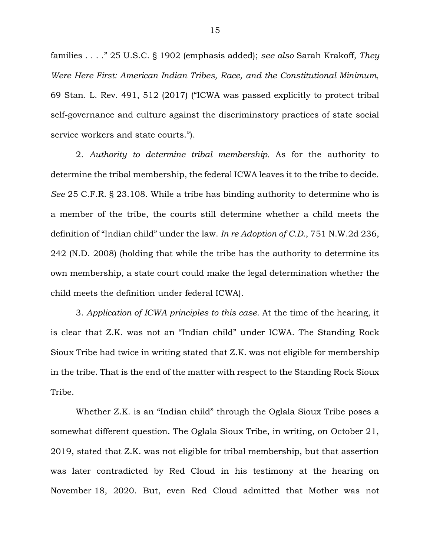families . . . ." 25 U.S.C. § 1902 (emphasis added); *see also* Sarah Krakoff, *They Were Here First: American Indian Tribes, Race, and the Constitutional Minimum*, 69 Stan. L. Rev. 491, 512 (2017) ("ICWA was passed explicitly to protect tribal self-governance and culture against the discriminatory practices of state social service workers and state courts.").

2. *Authority to determine tribal membership.* As for the authority to determine the tribal membership, the federal ICWA leaves it to the tribe to decide. *See* 25 C.F.R. § 23.108. While a tribe has binding authority to determine who is a member of the tribe, the courts still determine whether a child meets the definition of "Indian child" under the law. *In re Adoption of C.D.*, 751 N.W.2d 236, 242 (N.D. 2008) (holding that while the tribe has the authority to determine its own membership, a state court could make the legal determination whether the child meets the definition under federal ICWA).

3. *Application of ICWA principles to this case.* At the time of the hearing, it is clear that Z.K. was not an "Indian child" under ICWA. The Standing Rock Sioux Tribe had twice in writing stated that Z.K. was not eligible for membership in the tribe. That is the end of the matter with respect to the Standing Rock Sioux Tribe.

Whether Z.K. is an "Indian child" through the Oglala Sioux Tribe poses a somewhat different question. The Oglala Sioux Tribe, in writing, on October 21, 2019, stated that Z.K. was not eligible for tribal membership, but that assertion was later contradicted by Red Cloud in his testimony at the hearing on November 18, 2020. But, even Red Cloud admitted that Mother was not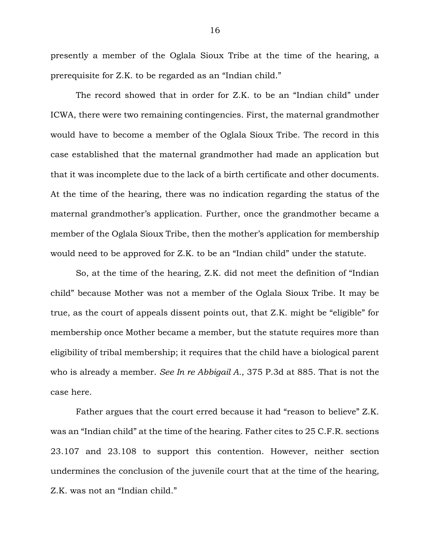presently a member of the Oglala Sioux Tribe at the time of the hearing, a prerequisite for Z.K. to be regarded as an "Indian child."

The record showed that in order for Z.K. to be an "Indian child" under ICWA, there were two remaining contingencies. First, the maternal grandmother would have to become a member of the Oglala Sioux Tribe. The record in this case established that the maternal grandmother had made an application but that it was incomplete due to the lack of a birth certificate and other documents. At the time of the hearing, there was no indication regarding the status of the maternal grandmother's application. Further, once the grandmother became a member of the Oglala Sioux Tribe, then the mother's application for membership would need to be approved for Z.K. to be an "Indian child" under the statute.

So, at the time of the hearing, Z.K. did not meet the definition of "Indian child" because Mother was not a member of the Oglala Sioux Tribe. It may be true, as the court of appeals dissent points out, that Z.K. might be "eligible" for membership once Mother became a member, but the statute requires more than eligibility of tribal membership; it requires that the child have a biological parent who is already a member. *See In re Abbigail A.*, 375 P.3d at 885. That is not the case here.

Father argues that the court erred because it had "reason to believe" Z.K. was an "Indian child" at the time of the hearing. Father cites to 25 C.F.R. sections 23.107 and 23.108 to support this contention. However, neither section undermines the conclusion of the juvenile court that at the time of the hearing, Z.K. was not an "Indian child."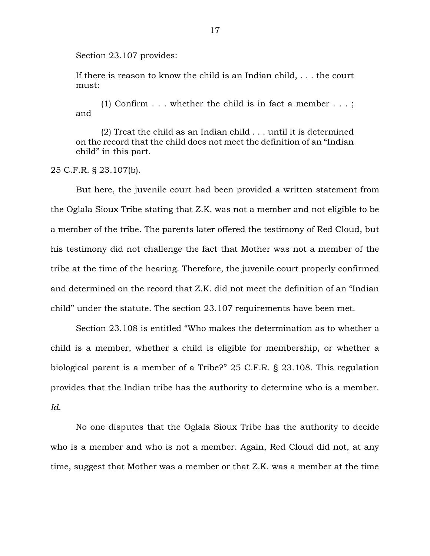Section 23.107 provides:

If there is reason to know the child is an Indian child, . . . the court must:

(1) Confirm  $\dots$  whether the child is in fact a member  $\dots$ ; and

(2) Treat the child as an Indian child . . . until it is determined on the record that the child does not meet the definition of an "Indian child" in this part.

25 C.F.R. § 23.107(b).

But here, the juvenile court had been provided a written statement from the Oglala Sioux Tribe stating that Z.K. was not a member and not eligible to be a member of the tribe. The parents later offered the testimony of Red Cloud, but his testimony did not challenge the fact that Mother was not a member of the tribe at the time of the hearing. Therefore, the juvenile court properly confirmed and determined on the record that Z.K. did not meet the definition of an "Indian child" under the statute. The section 23.107 requirements have been met.

Section 23.108 is entitled "Who makes the determination as to whether a child is a member, whether a child is eligible for membership, or whether a biological parent is a member of a Tribe?" 25 C.F.R. § 23.108. This regulation provides that the Indian tribe has the authority to determine who is a member. *Id.*

No one disputes that the Oglala Sioux Tribe has the authority to decide who is a member and who is not a member. Again, Red Cloud did not, at any time, suggest that Mother was a member or that Z.K. was a member at the time